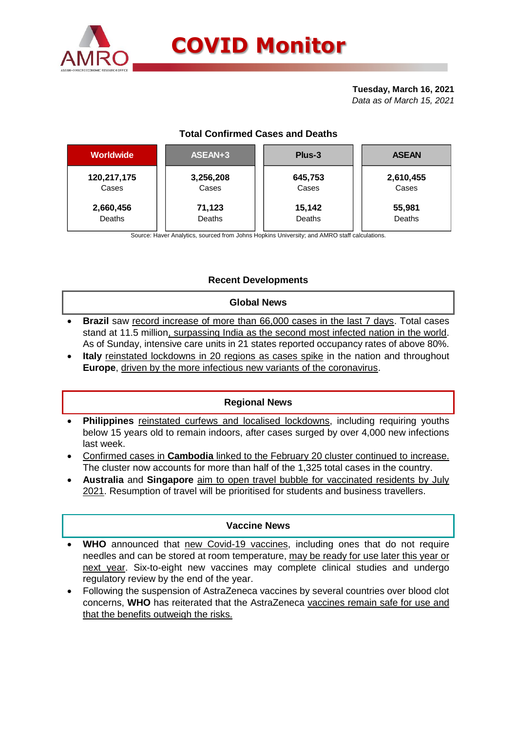

#### **Tuesday, March 16, 2021** *Data as of March 15, 2021*

# **Total Confirmed Cases and Deaths**

| <b>Worldwide</b> | ASEAN+3   | Plus-3  | <b>ASEAN</b> |  |  |
|------------------|-----------|---------|--------------|--|--|
| 120,217,175      | 3,256,208 | 645,753 | 2,610,455    |  |  |
| Cases            | Cases     | Cases   | Cases        |  |  |
| 2,660,456        | 71,123    | 15,142  | 55,981       |  |  |
| Deaths           | Deaths    | Deaths  | Deaths       |  |  |

Source: Haver Analytics, sourced from Johns Hopkins University; and AMRO staff calculations.

# **Recent Developments**

### **Global News**

- **Brazil** saw record increase of more than 66,000 cases in the last 7 days. Total cases stand at 11.5 million, surpassing India as the second most infected nation in the world. As of Sunday, intensive care units in 21 states reported occupancy rates of above 80%.
- **Italy** reinstated lockdowns in 20 regions as cases spike in the nation and throughout **Europe**, driven by the more infectious new variants of the coronavirus.

# **Regional News**

- **Philippines** reinstated curfews and localised lockdowns, including requiring youths below 15 years old to remain indoors, after cases surged by over 4,000 new infections last week.
- Confirmed cases in **Cambodia** linked to the February 20 cluster continued to increase. The cluster now accounts for more than half of the 1,325 total cases in the country.
- **Australia** and **Singapore** aim to open travel bubble for vaccinated residents by July 2021. Resumption of travel will be prioritised for students and business travellers.

### **Vaccine News**

- **WHO** announced that new Covid-19 vaccines, including ones that do not require needles and can be stored at room temperature, may be ready for use later this year or next year. Six-to-eight new vaccines may complete clinical studies and undergo regulatory review by the end of the year.
- Following the suspension of AstraZeneca vaccines by several countries over blood clot concerns, **WHO** has reiterated that the AstraZeneca vaccines remain safe for use and that the benefits outweigh the risks.